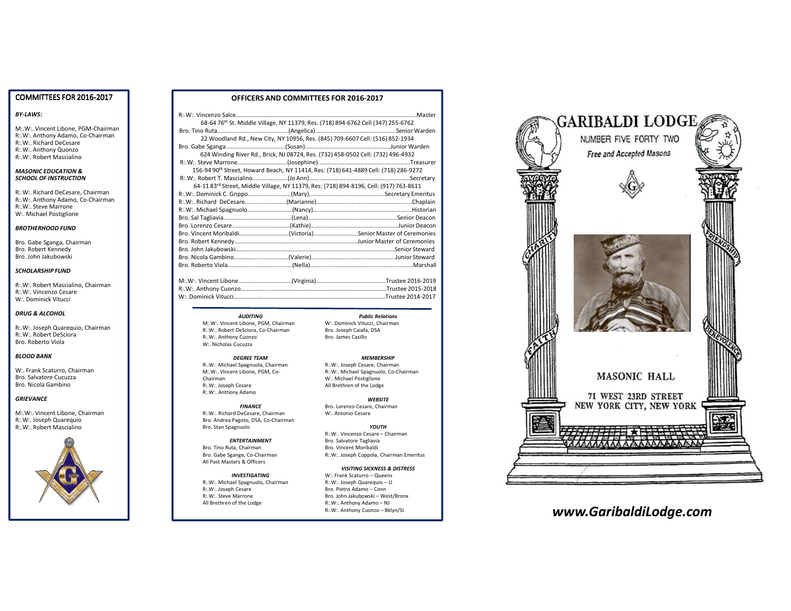# COMMITTEES FOR 2016-2017

## *BY-LAWS:*

M:.W:. Vincent Libone, PGM-Chairman R:.W:. Anthony Adamo, Co-ChairmanR:.W:. Richard DeCesare R:.W:. Anthony QuonzoR:.W:. Robert Mascialino

#### *MASONIC EDUCATION & SCHOOL OF INSTRUCTION*

R:.W:. Richard DeCesare, Chairman R:.W:. Anthony Adamo, Co-ChairmanR:.W:. Steve MarroneW:. Michael Postiglione

#### *BROTHERHOOD FUND*

Bro. Gabe Sganga, ChairmanBro. Robert KennedyBro. John Jakubowski

#### *SCHOLARSHIP FUND*

R:.W:. Robert Mascialino, ChairmanR:.W:. Vincenzo CesareW:. Dominick Vitucci

#### *DRUG & ALCOHOL*

R:.W:. Joseph Quarequio, ChairmanR:.W:. Robert DeScioraBro. Roberto Viola

## *BLOOD BANK*

W:. Frank Scaturro, ChairmanBro. Salvatore CucuzzaBro. Nicola Gambino

#### *GRIEVANCE*

M:.W:. Vincent Libone, ChairmanR:.W:. Joseph QuarequioR:.W:. Robert Mascialino



## **OFFICERS AND COMMITTEES FOR 2016-2017**

|                                                                                                  |  | 68-64 76th St. Middle Village, NY 11379, Res. (718) 894-6762 Cell (347) 255-6762                   |
|--------------------------------------------------------------------------------------------------|--|----------------------------------------------------------------------------------------------------|
|                                                                                                  |  |                                                                                                    |
|                                                                                                  |  | 22 Woodland Rd., New City, NY 10956, Res. (845) 709-6607 Cell: (516) 852-1934                      |
|                                                                                                  |  |                                                                                                    |
|                                                                                                  |  | 624 Winding River Rd., Brick, NJ 08724, Res. (732) 458-0502 Cell: (732) 496-4932                   |
|                                                                                                  |  |                                                                                                    |
| 156-94 90 <sup>th</sup> Street, Howard Beach, NY 11414, Res: (718) 641-4889 Cell: (718) 286-9272 |  |                                                                                                    |
|                                                                                                  |  |                                                                                                    |
|                                                                                                  |  | 64-11 83 <sup>rd</sup> Street, Middle Village, NY 11379, Res: (718) 894-8196, Cell: (917) 763-8611 |
|                                                                                                  |  |                                                                                                    |
|                                                                                                  |  |                                                                                                    |
|                                                                                                  |  |                                                                                                    |
|                                                                                                  |  |                                                                                                    |
|                                                                                                  |  |                                                                                                    |
|                                                                                                  |  |                                                                                                    |
|                                                                                                  |  |                                                                                                    |
|                                                                                                  |  |                                                                                                    |
|                                                                                                  |  |                                                                                                    |
|                                                                                                  |  |                                                                                                    |
|                                                                                                  |  |                                                                                                    |

M:.W:. Vincent Libone……………..………………(Virginia)……………………………………….Trustee 2016-2019...Trustee 2015-2018 R:.W:. Anthony Cuonzo .... ...Trustee 2014-2017 W:. Dominick Vitucci.....

#### *Public Relations*

*AUDITING* M:.W:. Vincent Libone, PGM, Chairman R:.W:. Robert DeSciora, Co-ChairmanR:.W:. Anthony CuonzoW:. Nicholas Cucuzza

*DEGREE TEAM* R:.W:. Michael Spagnuola, ChairmanM:.W:. Vincent Libone, PGM, Co-Chairman R:.W:. Joseph CesareR:.W:. Anthony Adamo

*FINANCE* R:.W:. Richard DeCesare, Chairman Bro. Andrea Pagoto, DSA, Co-ChairmanBro. Stan Spagnuolo

*ENTERTAINMENT*Bro. Tino Ruta, Chairman Bro. Gabe Sgange, Co-ChairmanAll Past Masters & Officers

*INVESTIGATING* R:.W:. Michael Spagnuolo, ChairmanR:.W:. Joseph Cesare R:.W:. Steve MarroneAll Brethren of the Lodge

 W:. Dominick Vitucci, ChairmanBro. Joseph Caiafa, DSABro. James Casillo

## *MEMBERSHIP*

 R:.W:. Joseph Cesare, Chairman R:.W:. Michael Spagnuolo, Co-ChairmanW:. Michael PostiglioneAll Brethren of the Lodge

*WEBSITE* Bro. Lorenzo Cesare, ChairmanW:. Antonio Cesare

*YOUTH*

 R:.W:. Vincenzo Cesare – ChairmanBro. Salvatore Tagliavia Bro. Vincent MoribaldiR:.W:. Joseph Coppola, Chairman Emeritus

*VISITING SICKNESS & DISTRESS*W:. Frank Scaturro – Queens

R:.W:. Joseph Quarequio – LI Bro. Pietro Adamo – Conn Bro. John Jakubowski – West/Bronx R:.W:. Anthony Adamo – NJ<br>R:.W:. Anthony Cuonzo – Bklyn/SI



# R:.W:. Anthony Cuonzo – Bklyn/SI *www.GaribaldiLodge.com*